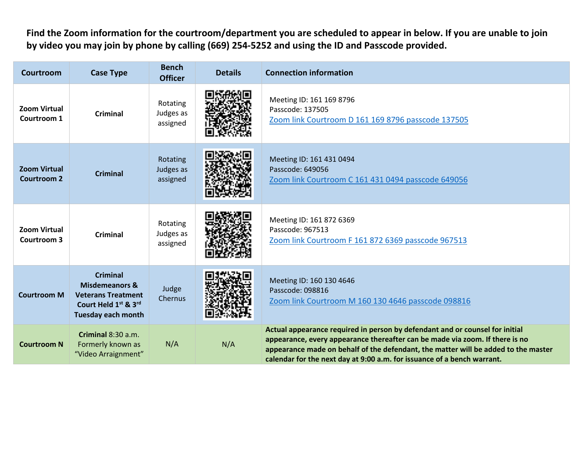**Find the Zoom information for the courtroom/department you are scheduled to appear in below. If you are unable to join by video you may join by phone by calling (669) 254-5252 and using the ID and Passcode provided.**

| <b>Courtroom</b>                          | <b>Case Type</b>                                                                                                                            | <b>Bench</b><br><b>Officer</b>    | <b>Details</b> | <b>Connection information</b>                                                                                                                                                                                                                                                                                                 |
|-------------------------------------------|---------------------------------------------------------------------------------------------------------------------------------------------|-----------------------------------|----------------|-------------------------------------------------------------------------------------------------------------------------------------------------------------------------------------------------------------------------------------------------------------------------------------------------------------------------------|
| <b>Zoom Virtual</b><br>Courtroom 1        | <b>Criminal</b>                                                                                                                             | Rotating<br>Judges as<br>assigned |                | Meeting ID: 161 169 8796<br>Passcode: 137505<br>Zoom link Courtroom D 161 169 8796 passcode 137505                                                                                                                                                                                                                            |
| <b>Zoom Virtual</b><br><b>Courtroom 2</b> | <b>Criminal</b>                                                                                                                             | Rotating<br>Judges as<br>assigned |                | Meeting ID: 161 431 0494<br>Passcode: 649056<br>Zoom link Courtroom C 161 431 0494 passcode 649056                                                                                                                                                                                                                            |
| <b>Zoom Virtual</b><br>Courtroom 3        | Criminal                                                                                                                                    | Rotating<br>Judges as<br>assigned |                | Meeting ID: 161 872 6369<br>Passcode: 967513<br>Zoom link Courtroom F 161 872 6369 passcode 967513                                                                                                                                                                                                                            |
| <b>Courtroom M</b>                        | <b>Criminal</b><br>Misdemeanors &<br><b>Veterans Treatment</b><br>Court Held 1 <sup>st</sup> & 3 <sup>rd</sup><br><b>Tuesday each month</b> | Judge<br>Chernus                  |                | Meeting ID: 160 130 4646<br>Passcode: 098816<br>Zoom link Courtroom M 160 130 4646 passcode 098816                                                                                                                                                                                                                            |
| <b>Courtroom N</b>                        | Criminal 8:30 a.m.<br>Formerly known as<br>"Video Arraignment"                                                                              | N/A                               | N/A            | Actual appearance required in person by defendant and or counsel for initial<br>appearance, every appearance thereafter can be made via zoom. If there is no<br>appearance made on behalf of the defendant, the matter will be added to the master<br>calendar for the next day at 9:00 a.m. for issuance of a bench warrant. |